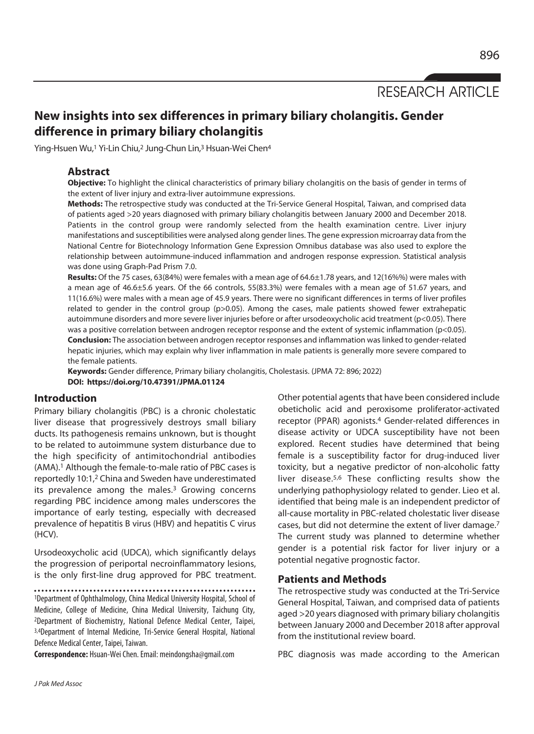RESEARCH ARTICLE

# **New insights into sex differences in primary biliary cholangitis. Gender difference in primary biliary cholangitis**

Ying-Hsuen Wu,<sup>1</sup> Yi-Lin Chiu,<sup>2</sup> Jung-Chun Lin,<sup>3</sup> Hsuan-Wei Chen<sup>4</sup>

# **Abstract**

**Objective:** To highlight the clinical characteristics of primary biliary cholangitis on the basis of gender in terms of the extent of liver injury and extra-liver autoimmune expressions.

**Methods:** The retrospective study was conducted at the Tri-Service General Hospital, Taiwan, and comprised data of patients aged >20 years diagnosed with primary biliary cholangitis between January 2000 and December 2018. Patients in the control group were randomly selected from the health examination centre. Liver injury manifestations and susceptibilities were analysed along gender lines. The gene expression microarray data from the National Centre for Biotechnology Information Gene Expression Omnibus database was also used to explore the relationship between autoimmune-induced inflammation and androgen response expression. Statistical analysis was done using Graph-Pad Prism 7.0.

**Results:** Of the 75 cases, 63(84%) were females with a mean age of 64.6±1.78 years, and 12(16%%) were males with a mean age of 46.6±5.6 years. Of the 66 controls, 55(83.3%) were females with a mean age of 51.67 years, and 11(16.6%) were males with a mean age of 45.9 years. There were no significant differences in terms of liver profiles related to gender in the control group (p>0.05). Among the cases, male patients showed fewer extrahepatic autoimmune disorders and more severe liver injuries before or after ursodeoxycholic acid treatment (p<0.05). There was a positive correlation between androgen receptor response and the extent of systemic inflammation (p<0.05). **Conclusion:** The association between androgen receptor responses and inflammation was linked to gender-related hepatic injuries, which may explain why liver inflammation in male patients is generally more severe compared to the female patients.

**Keywords:** Gender difference, Primary biliary cholangitis, Cholestasis. (JPMA 72: 896; 2022) **DOI: https://doi.org/10.47391/JPMA.01124** 

# **Introduction**

Primary biliary cholangitis (PBC) is a chronic cholestatic liver disease that progressively destroys small biliary ducts. Its pathogenesis remains unknown, but is thought to be related to autoimmune system disturbance due to the high specificity of antimitochondrial antibodies (AMA).1 Although the female-to-male ratio of PBC cases is reportedly 10:1,2 China and Sweden have underestimated its prevalence among the males.<sup>3</sup> Growing concerns regarding PBC incidence among males underscores the importance of early testing, especially with decreased prevalence of hepatitis B virus (HBV) and hepatitis C virus (HCV).

Ursodeoxycholic acid (UDCA), which significantly delays the progression of periportal necroinflammatory lesions, is the only first-line drug approved for PBC treatment.

1Department of Ophthalmology, China Medical University Hospital, School of Medicine, College of Medicine, China Medical University, Taichung City, 2Department of Biochemistry, National Defence Medical Center, Taipei, 3,4Department of Internal Medicine, Tri-Service General Hospital, National Defence Medical Center, Taipei, Taiwan.

**Correspondence:** Hsuan-Wei Chen. Email: meindongsha@gmail.com

Other potential agents that have been considered include obeticholic acid and peroxisome proliferator-activated receptor (PPAR) agonists.4 Gender-related differences in disease activity or UDCA susceptibility have not been explored. Recent studies have determined that being female is a susceptibility factor for drug-induced liver toxicity, but a negative predictor of non-alcoholic fatty liver disease.5,6 These conflicting results show the underlying pathophysiology related to gender. Lieo et al. identified that being male is an independent predictor of all-cause mortality in PBC-related cholestatic liver disease cases, but did not determine the extent of liver damage.7 The current study was planned to determine whether gender is a potential risk factor for liver injury or a potential negative prognostic factor.

## **Patients and Methods**

The retrospective study was conducted at the Tri-Service General Hospital, Taiwan, and comprised data of patients aged >20 years diagnosed with primary biliary cholangitis between January 2000 and December 2018 after approval from the institutional review board.

PBC diagnosis was made according to the American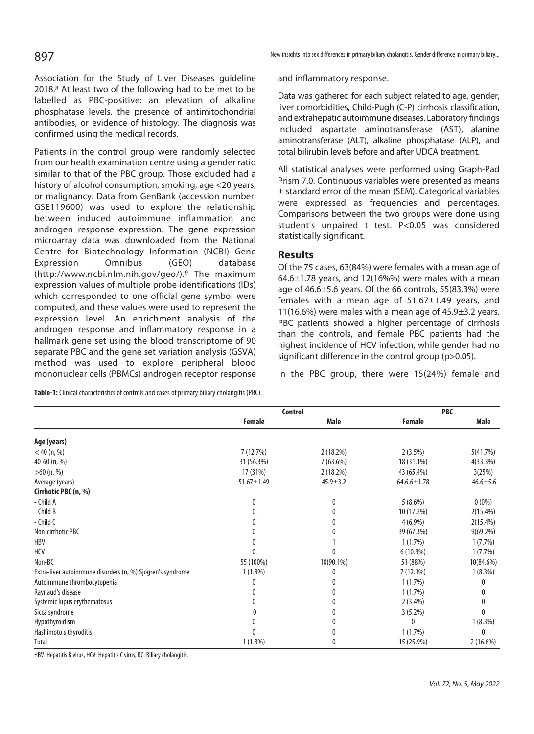Association for the Study of Liver Diseases guideline 2018.8 At least two of the following had to be met to be labelled as PBC-positive: an elevation of alkaline phosphatase levels, the presence of antimitochondrial antibodies, or evidence of histology. The diagnosis was confirmed using the medical records.

Patients in the control group were randomly selected from our health examination centre using a gender ratio similar to that of the PBC group. Those excluded had a history of alcohol consumption, smoking, age <20 years, or malignancy. Data from GenBank (accession number: GSE119600) was used to explore the relationship between induced autoimmune inflammation and androgen response expression. The gene expression microarray data was downloaded from the National Centre for Biotechnology Information (NCBI) Gene Expression Omnibus (GEO) database (http://www.ncbi.nlm.nih.gov/geo/).9 The maximum expression values of multiple probe identifications (IDs) which corresponded to one official gene symbol were computed, and these values were used to represent the expression level. An enrichment analysis of the androgen response and inflammatory response in a hallmark gene set using the blood transcriptome of 90 separate PBC and the gene set variation analysis (GSVA) method was used to explore peripheral blood mononuclear cells (PBMCs) androgen receptor response

**Table-1:** Clinical characteristics of controls and cases of primary biliary cholangitis (PBC).

| 897 | New insights into sex differences in primary biliary cholangitis. Gender difference in primary biliary |
|-----|--------------------------------------------------------------------------------------------------------|
|-----|--------------------------------------------------------------------------------------------------------|

and inflammatory response.

Data was gathered for each subject related to age, gender, liver comorbidities, Child-Pugh (C-P) cirrhosis classification, and extrahepatic autoimmune diseases. Laboratory findings included aspartate aminotransferase (AST), alanine aminotransferase (ALT), alkaline phosphatase (ALP), and total bilirubin levels before and after UDCA treatment.

All statistical analyses were performed using Graph-Pad Prism 7.0. Continuous variables were presented as means ± standard error of the mean (SEM). Categorical variables were expressed as frequencies and percentages. Comparisons between the two groups were done using student's unpaired t test. P<0.05 was considered statistically significant.

## **Results**

Of the 75 cases, 63(84%) were females with a mean age of  $64.6\pm1.78$  years, and 12(16%%) were males with a mean age of 46.6±5.6 years. Of the 66 controls, 55(83.3%) were females with a mean age of 51.67±1.49 years, and 11(16.6%) were males with a mean age of 45.9±3.2 years. PBC patients showed a higher percentage of cirrhosis than the controls, and female PBC patients had the highest incidence of HCV infection, while gender had no significant difference in the control group (p>0.05).

In the PBC group, there were 15(24%) female and

|                                                            | <b>Control</b>   |                | <b>PBC</b>        |                |
|------------------------------------------------------------|------------------|----------------|-------------------|----------------|
|                                                            | Female           | <b>Male</b>    | Female            | Male           |
| Age (years)                                                |                  |                |                   |                |
| $<$ 40 (n, %)                                              | 7(12.7%)         | 2(18.2%)       | 2(3.5%)           | 5(41.7%)       |
| 40-60 (n, %)                                               | 31 (56.3%)       | $7(63.6\%)$    | 18 (31.1%)        | 4(33.3%)       |
| $>60$ (n, %)                                               | 17 (31%)         | 2(18.2%)       | 43 (65.4%)        | 3(25%)         |
| Average (years)                                            | $51.67 \pm 1.49$ | $45.9 \pm 3.2$ | $64.6.6 \pm 1.78$ | $46.6 \pm 5.6$ |
| Cirrhotic PBC (n, %)                                       |                  |                |                   |                |
| - Child A                                                  | 0                | 0              | $5(8.6\%)$        | $0(0\%)$       |
| - Child B                                                  |                  | 0              | 10 (17.2%)        | $2(15.4\%)$    |
| - Child C                                                  |                  | 0              | $4(6.9\%)$        | $2(15.4\%)$    |
| Non-cirrhotic PBC                                          |                  | 0              | 39 (67.3%)        | $9(69.2\%)$    |
| HBV                                                        |                  |                | 1(1.7%)           | 1(7.7%)        |
| HCV                                                        |                  | $\Omega$       | 6(10.3%)          | 1(7.7%)        |
| Non-BC                                                     | 55 (100%)        | 10(90.1%)      | 51 (88%)          | 10(84.6%)      |
| Extra-liver autoimmune disorders (n, %) Sjogren's syndrome | $1(1.8\%)$       | 0              | 7 (12.1%)         | $1(8.3\%)$     |
| Autoimmune thrombocytopenia                                | 0                | 0              | 1(1.7%)           | 0              |
| Raynaud's disease                                          |                  | 0              | 1(1.7%)           | 0              |
| Systemic lupus erythematosus                               |                  | 0              | $2(3.4\%)$        | 0              |
| Sicca syndrome                                             |                  | 0              | 3(5.2%)           | $\theta$       |
| Hypothyroidism                                             |                  | 0              | 0                 | $1(8.3\%)$     |
| Hashimoto's thyroditis                                     | 0                | 0              | 1(1.7%)           | 0              |
| Total                                                      | $1(1.8\%)$       | 0              | 15 (25.9%)        | $2(16.6\%)$    |

HBV: Hepatitis B virus, HCV: Hepatitis C virus, BC: Biliary cholangitis.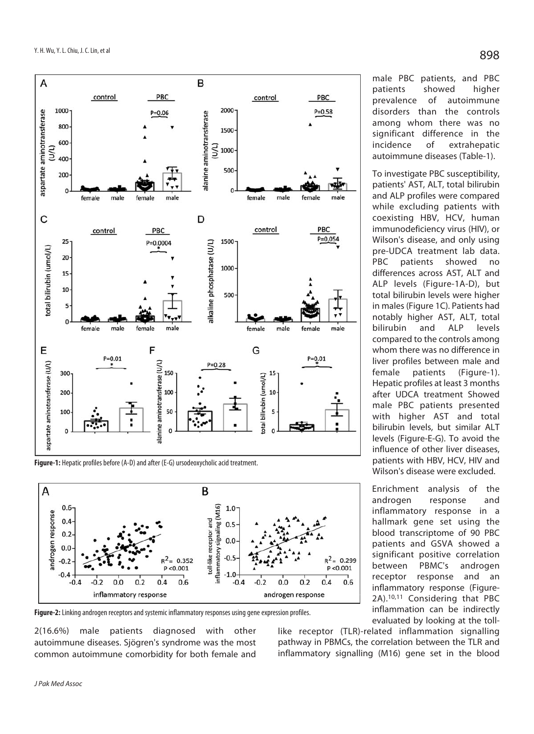

**Figure-1:** Hepatic profiles before (A-D) and after (E-G) ursodeoxycholic acid treatment.



**Figure-2:** Linking androgen receptors and systemic inflammatory responses using gene expression profiles.

2(16.6%) male patients diagnosed with other autoimmune diseases. Sjögren's syndrome was the most common autoimmune comorbidity for both female and male PBC patients, and PBC patients showed higher prevalence of autoimmune disorders than the controls among whom there was no significant difference in the incidence of extrahepatic autoimmune diseases (Table-1).

To investigate PBC susceptibility, patients' AST, ALT, total bilirubin and ALP profiles were compared while excluding patients with coexisting HBV, HCV, human immunodeficiency virus (HIV), or Wilson's disease, and only using pre-UDCA treatment lab data. PBC patients showed no differences across AST, ALT and ALP levels (Figure-1A-D), but total bilirubin levels were higher in males (Figure 1C). Patients had notably higher AST, ALT, total bilirubin and ALP levels compared to the controls among whom there was no difference in liver profiles between male and female patients (Figure-1). Hepatic profiles at least 3 months after UDCA treatment Showed male PBC patients presented with higher AST and total bilirubin levels, but similar ALT levels (Figure-E-G). To avoid the influence of other liver diseases, patients with HBV, HCV, HIV and Wilson's disease were excluded.

Enrichment analysis of the androgen response and inflammatory response in a hallmark gene set using the blood transcriptome of 90 PBC patients and GSVA showed a significant positive correlation between PBMC's androgen receptor response and an inflammatory response (Figure-2A).10,11 Considering that PBC inflammation can be indirectly evaluated by looking at the toll-

like receptor (TLR)-related inflammation signalling pathway in PBMCs, the correlation between the TLR and inflammatory signalling (M16) gene set in the blood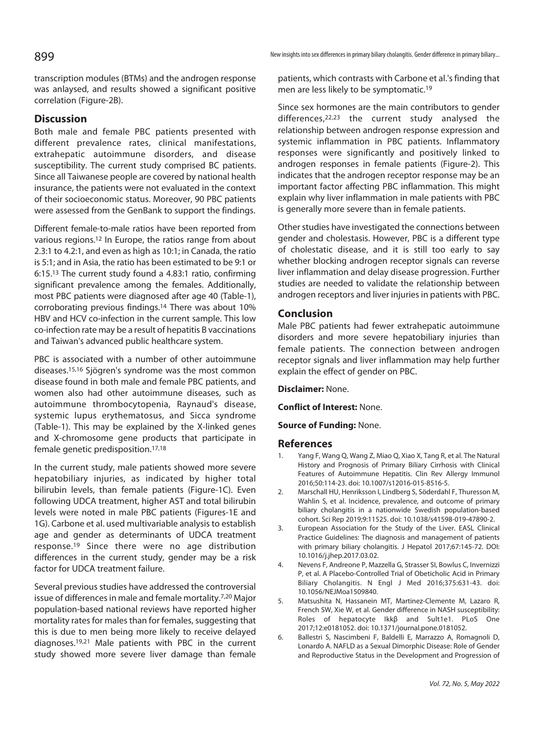transcription modules (BTMs) and the androgen response was anlaysed, and results showed a significant positive correlation (Figure-2B).

# **Discussion**

Both male and female PBC patients presented with different prevalence rates, clinical manifestations, extrahepatic autoimmune disorders, and disease susceptibility. The current study comprised BC patients. Since all Taiwanese people are covered by national health insurance, the patients were not evaluated in the context of their socioeconomic status. Moreover, 90 PBC patients were assessed from the GenBank to support the findings.

Different female-to-male ratios have been reported from various regions.12 In Europe, the ratios range from about 2.3:1 to 4.2:1, and even as high as 10:1; in Canada, the ratio is 5:1; and in Asia, the ratio has been estimated to be 9:1 or 6:15.13 The current study found a 4.83:1 ratio, confirming significant prevalence among the females. Additionally, most PBC patients were diagnosed after age 40 (Table-1), corroborating previous findings.14 There was about 10% HBV and HCV co-infection in the current sample. This low co-infection rate may be a result of hepatitis B vaccinations and Taiwan's advanced public healthcare system.

PBC is associated with a number of other autoimmune diseases.15,16 Sjögren's syndrome was the most common disease found in both male and female PBC patients, and women also had other autoimmune diseases, such as autoimmune thrombocytopenia, Raynaud's disease, systemic lupus erythematosus, and Sicca syndrome (Table-1). This may be explained by the X-linked genes and X-chromosome gene products that participate in female genetic predisposition.17,18

In the current study, male patients showed more severe hepatobiliary injuries, as indicated by higher total bilirubin levels, than female patients (Figure-1C). Even following UDCA treatment, higher AST and total bilirubin levels were noted in male PBC patients (Figures-1E and 1G). Carbone et al. used multivariable analysis to establish age and gender as determinants of UDCA treatment response.19 Since there were no age distribution differences in the current study, gender may be a risk factor for UDCA treatment failure.

Several previous studies have addressed the controversial issue of differences in male and female mortality.7,20 Major population-based national reviews have reported higher mortality rates for males than for females, suggesting that this is due to men being more likely to receive delayed diagnoses.19,21 Male patients with PBC in the current study showed more severe liver damage than female

New insights into sex differences in primary biliary cholangitis. Gender difference in primary biliary...

patients, which contrasts with Carbone et al.'s finding that men are less likely to be symptomatic.19

Since sex hormones are the main contributors to gender differences,22,23 the current study analysed the relationship between androgen response expression and systemic inflammation in PBC patients. Inflammatory responses were significantly and positively linked to androgen responses in female patients (Figure-2). This indicates that the androgen receptor response may be an important factor affecting PBC inflammation. This might explain why liver inflammation in male patients with PBC is generally more severe than in female patients.

Other studies have investigated the connections between gender and cholestasis. However, PBC is a different type of cholestatic disease, and it is still too early to say whether blocking androgen receptor signals can reverse liver inflammation and delay disease progression. Further studies are needed to validate the relationship between androgen receptors and liver injuries in patients with PBC.

# **Conclusion**

Male PBC patients had fewer extrahepatic autoimmune disorders and more severe hepatobiliary injuries than female patients. The connection between androgen receptor signals and liver inflammation may help further explain the effect of gender on PBC.

**Disclaimer:** None.

**Conflict of Interest:** None.

## **Source of Funding:** None.

## **References**

- 1. Yang F, Wang Q, Wang Z, Miao Q, Xiao X, Tang R, et al. The Natural History and Prognosis of Primary Biliary Cirrhosis with Clinical Features of Autoimmune Hepatitis. Clin Rev Allergy Immunol 2016;50:114-23. doi: 10.1007/s12016-015-8516-5.
- 2. Marschall HU, Henriksson I, Lindberg S, Söderdahl F, Thuresson M, Wahlin S, et al. Incidence, prevalence, and outcome of primary biliary cholangitis in a nationwide Swedish population-based cohort. Sci Rep 2019;9:11525. doi: 10.1038/s41598-019-47890-2.
- 3. European Association for the Study of the Liver. EASL Clinical Practice Guidelines: The diagnosis and management of patients with primary biliary cholangitis. J Hepatol 2017;67:145-72. DOI: 10.1016/j.jhep.2017.03.02.
- 4. Nevens F, Andreone P, Mazzella G, Strasser SI, Bowlus C, Invernizzi P, et al. A Placebo-Controlled Trial of Obeticholic Acid in Primary Biliary Cholangitis. N Engl J Med 2016;375:631-43. doi: 10.1056/NEJMoa1509840.
- 5. Matsushita N, Hassanein MT, Martinez-Clemente M, Lazaro R, French SW, Xie W, et al. Gender difference in NASH susceptibility: Roles of hepatocyte Ikkβ and Sult1e1. PLoS One 2017;12:e0181052. doi: 10.1371/journal.pone.0181052.
- 6. Ballestri S, Nascimbeni F, Baldelli E, Marrazzo A, Romagnoli D, Lonardo A. NAFLD as a Sexual Dimorphic Disease: Role of Gender and Reproductive Status in the Development and Progression of